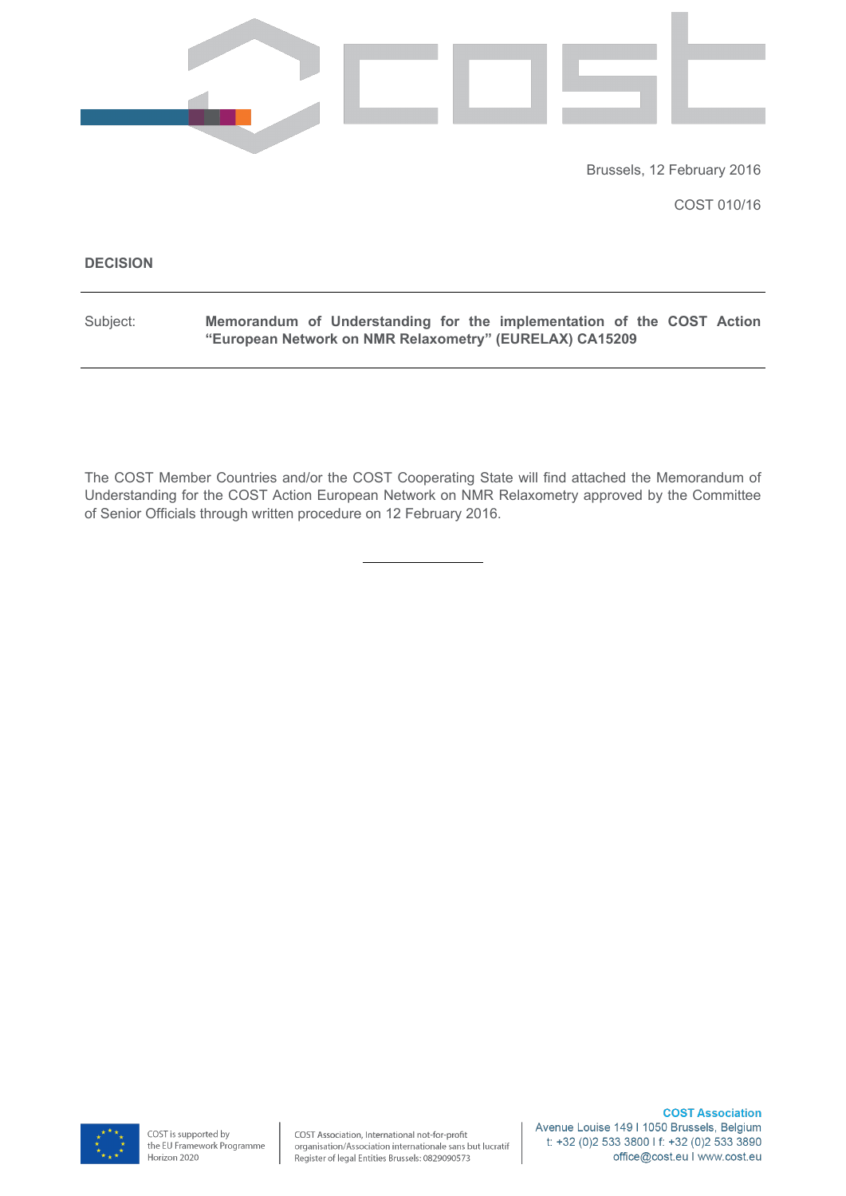

Brussels, 12 February 2016

COST 010/16

#### **decision**

Subject: Memorandum of Understanding for the implementation of the COST Action **"European Network on NMR Relaxometry" (EURELAX) CA15209** 

The COST Member Countries and/or the COST Cooperating State will find attached the Memorandum of Understanding for the COST Action European Network on NMR Relaxometry approved by the Committee of Senior Officials through written procedure on 12 February 2016.

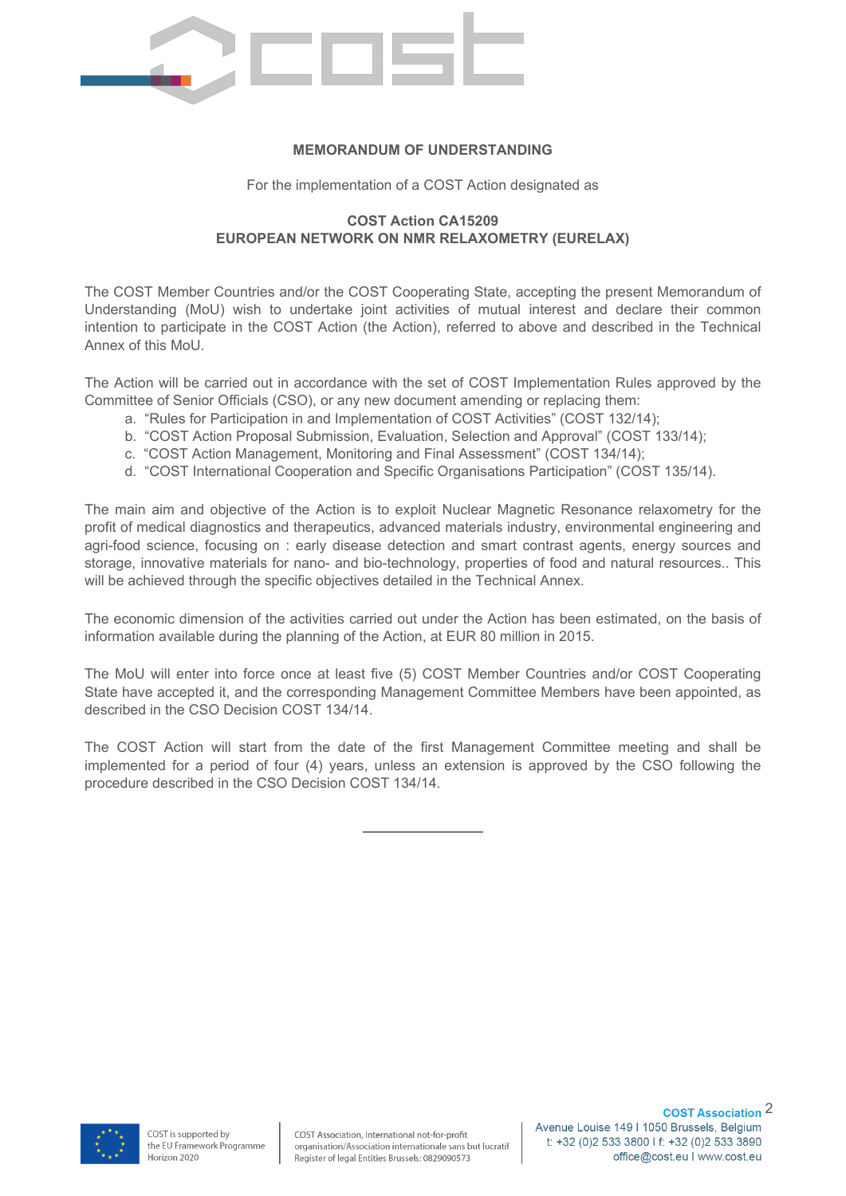

#### **MEMORANDUM OF UNDERSTANDING**

For the implementation of a COST Action designated as

#### **COST Action CA15209 EUROPEAN NETWORK ON NMR RELAXOMETRY (EURELAX)**

The COST Member Countries and/or the COST Cooperating State, accepting the present Memorandum of Understanding (MoU) wish to undertake joint activities of mutual interest and declare their common intention to participate in the COST Action (the Action), referred to above and described in the Technical Annex of this MoU.

The Action will be carried out in accordance with the set of COST Implementation Rules approved by the Committee of Senior Officials (CSO), or any new document amending or replacing them:

- a. "Rules for Participation in and Implementation of COST Activities" (COST 132/14);
- b. "COST Action Proposal Submission, Evaluation, Selection and Approval" (COST 133/14);
- c. "COST Action Management, Monitoring and Final Assessment" (COST 134/14);
- d. "COST International Cooperation and Specific Organisations Participation" (COST 135/14).

The main aim and objective of the Action is to exploit Nuclear Magnetic Resonance relaxometry for the profit of medical diagnostics and therapeutics, advanced materials industry, environmental engineering and agri-food science, focusing on : early disease detection and smart contrast agents, energy sources and storage, innovative materials for nano- and bio-technology, properties of food and natural resources.. This will be achieved through the specific objectives detailed in the Technical Annex.

The economic dimension of the activities carried out under the Action has been estimated, on the basis of information available during the planning of the Action, at EUR 80 million in 2015.

The MoU will enter into force once at least five (5) COST Member Countries and/or COST Cooperating State have accepted it, and the corresponding Management Committee Members have been appointed, as described in the CSO Decision COST 134/14.

The COST Action will start from the date of the first Management Committee meeting and shall be implemented for a period of four (4) years, unless an extension is approved by the CSO following the procedure described in the CSO Decision COST 134/14.

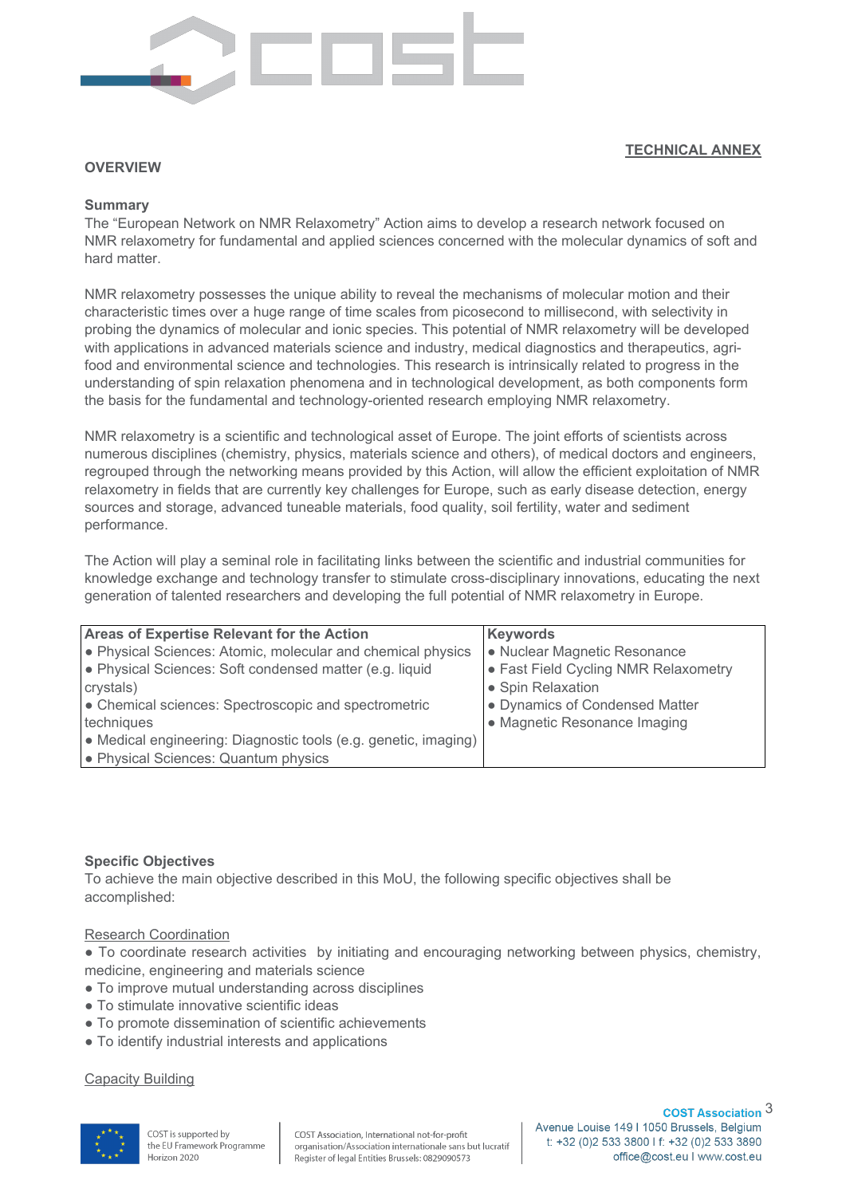

#### **TECHNICAL ANNEX**

#### **overview**

#### **Summary**

The "European Network on NMR Relaxometry" Action aims to develop a research network focused on NMR relaxometry for fundamental and applied sciences concerned with the molecular dynamics of soft and hard matter.

NMR relaxometry possesses the unique ability to reveal the mechanisms of molecular motion and their characteristic times over a huge range of time scales from picosecond to millisecond, with selectivity in probing the dynamics of molecular and ionic species. This potential of NMR relaxometry will be developed with applications in advanced materials science and industry, medical diagnostics and therapeutics, agrifood and environmental science and technologies. This research is intrinsically related to progress in the understanding of spin relaxation phenomena and in technological development, as both components form the basis for the fundamental and technology-oriented research employing NMR relaxometry.

NMR relaxometry is a scientific and technological asset of Europe. The joint efforts of scientists across numerous disciplines (chemistry, physics, materials science and others), of medical doctors and engineers, regrouped through the networking means provided by this Action, will allow the efficient exploitation of NMR relaxometry in fields that are currently key challenges for Europe, such as early disease detection, energy sources and storage, advanced tuneable materials, food quality, soil fertility, water and sediment performance.

The Action will play a seminal role in facilitating links between the scientific and industrial communities for knowledge exchange and technology transfer to stimulate cross-disciplinary innovations, educating the next generation of talented researchers and developing the full potential of NMR relaxometry in Europe.

| <b>Areas of Expertise Relevant for the Action</b>               | <b>Keywords</b>                      |
|-----------------------------------------------------------------|--------------------------------------|
| • Physical Sciences: Atomic, molecular and chemical physics     | • Nuclear Magnetic Resonance         |
| ● Physical Sciences: Soft condensed matter (e.g. liquid         | • Fast Field Cycling NMR Relaxometry |
| crystals)                                                       | • Spin Relaxation                    |
| • Chemical sciences: Spectroscopic and spectrometric            | • Dynamics of Condensed Matter       |
| techniques                                                      | • Magnetic Resonance Imaging         |
| O Medical engineering: Diagnostic tools (e.g. genetic, imaging) |                                      |
| • Physical Sciences: Quantum physics                            |                                      |

#### **Specific Obiectives**

To achieve the main objective described in this MoU, the following specific objectives shall be accomplished:

#### Research Coordination

• To coordinate research activities by initiating and encouraging networking between physics, chemistry, medicine, engineering and materials science

- To improve mutual understanding across disciplines
- To stimulate innovative scientific ideas
- To promote dissemination of scientific achievements
- To identify industrial interests and applications

#### **Capacity Building**

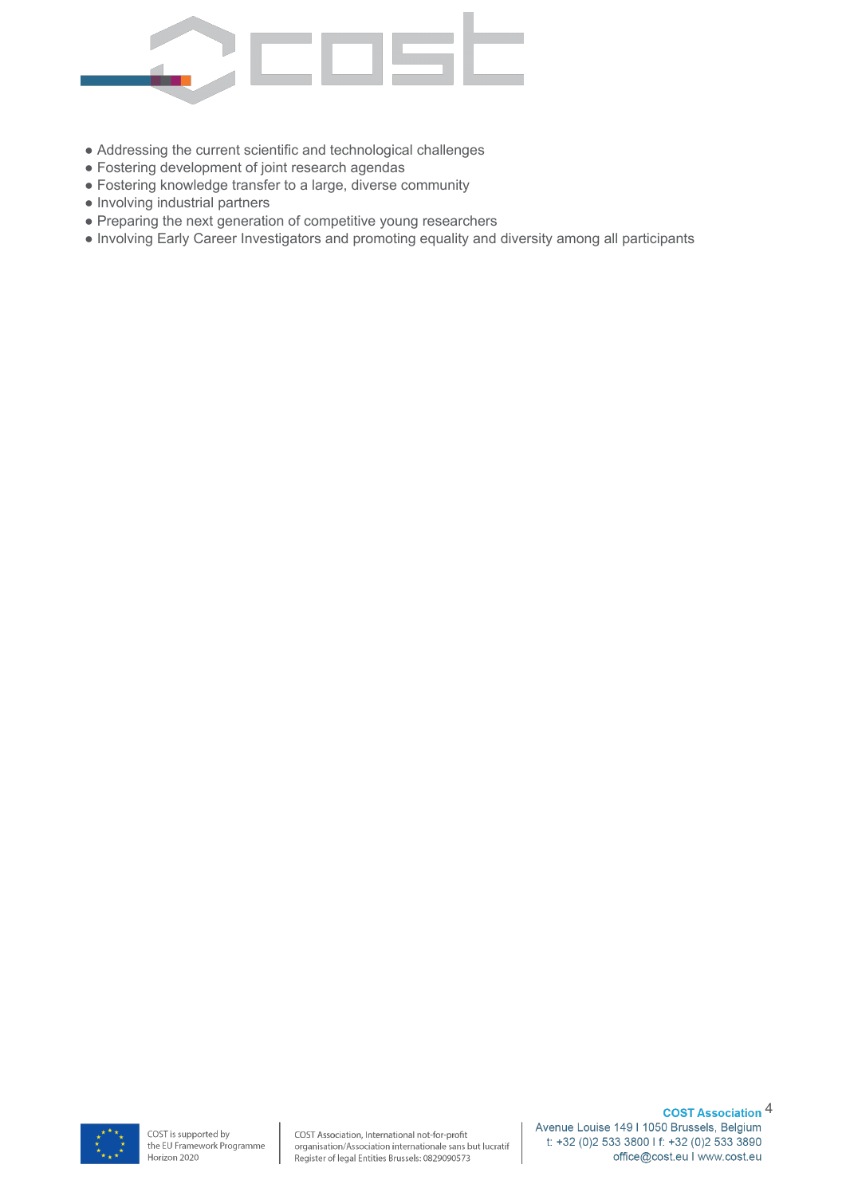

- Addressing the current scientific and technological challenges
- Fostering development of joint research agendas
- Fostering knowledge transfer to a large, diverse community
- Involving industrial partners
- Preparing the next generation of competitive young researchers
- Involving Early Career Investigators and promoting equality and diversity among all participants

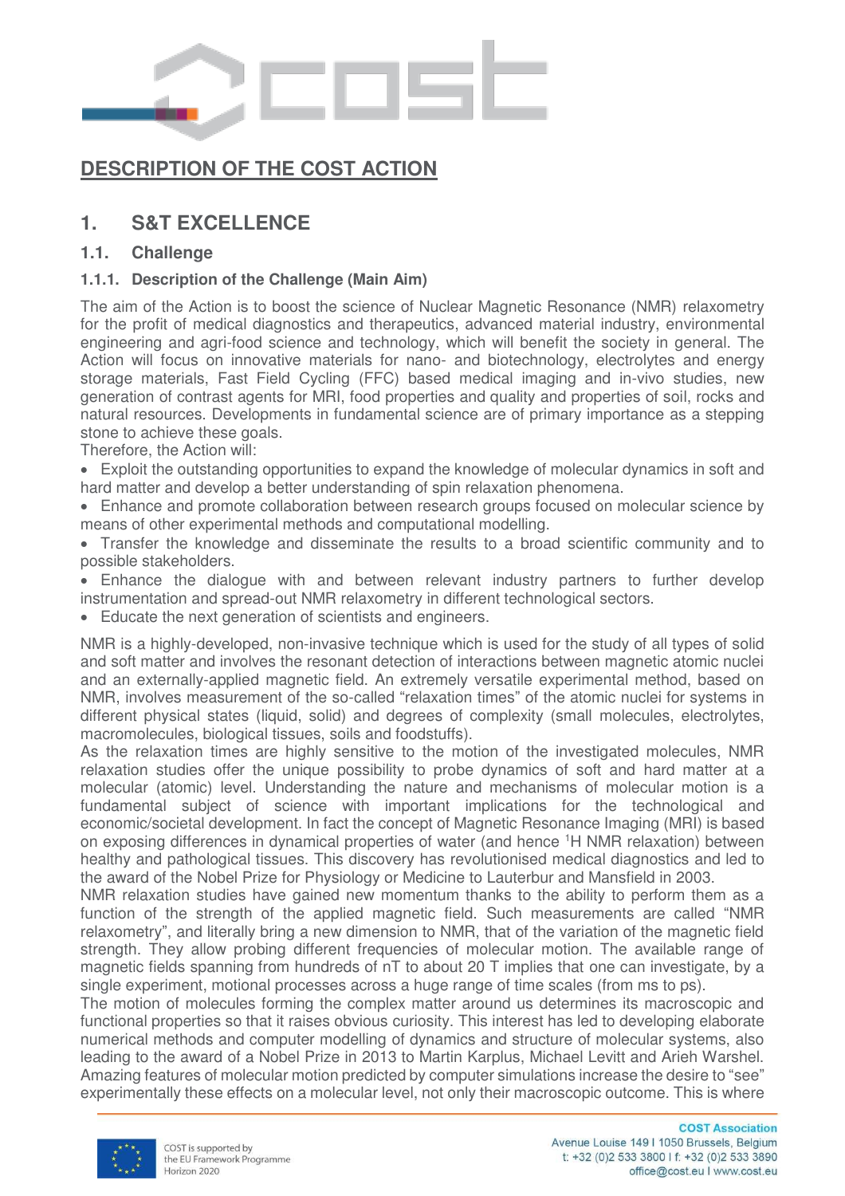

# **DESCRIPTION OF THE COST ACTION**

# **1. S&T EXCELLENCE**

## **1.1. Challenge**

### **1.1.1. Description of the Challenge (Main Aim)**

The aim of the Action is to boost the science of Nuclear Magnetic Resonance (NMR) relaxometry for the profit of medical diagnostics and therapeutics, advanced material industry, environmental engineering and agri-food science and technology, which will benefit the society in general. The Action will focus on innovative materials for nano- and biotechnology, electrolytes and energy storage materials, Fast Field Cycling (FFC) based medical imaging and in-vivo studies, new generation of contrast agents for MRI, food properties and quality and properties of soil, rocks and natural resources. Developments in fundamental science are of primary importance as a stepping stone to achieve these goals.

Therefore, the Action will:

 Exploit the outstanding opportunities to expand the knowledge of molecular dynamics in soft and hard matter and develop a better understanding of spin relaxation phenomena.

 Enhance and promote collaboration between research groups focused on molecular science by means of other experimental methods and computational modelling.

 Transfer the knowledge and disseminate the results to a broad scientific community and to possible stakeholders.

 Enhance the dialogue with and between relevant industry partners to further develop instrumentation and spread-out NMR relaxometry in different technological sectors.

Educate the next generation of scientists and engineers.

NMR is a highly-developed, non-invasive technique which is used for the study of all types of solid and soft matter and involves the resonant detection of interactions between magnetic atomic nuclei and an externally-applied magnetic field. An extremely versatile experimental method, based on NMR, involves measurement of the so-called "relaxation times" of the atomic nuclei for systems in different physical states (liquid, solid) and degrees of complexity (small molecules, electrolytes, macromolecules, biological tissues, soils and foodstuffs).

As the relaxation times are highly sensitive to the motion of the investigated molecules, NMR relaxation studies offer the unique possibility to probe dynamics of soft and hard matter at a molecular (atomic) level. Understanding the nature and mechanisms of molecular motion is a fundamental subject of science with important implications for the technological and economic/societal development. In fact the concept of Magnetic Resonance Imaging (MRI) is based on exposing differences in dynamical properties of water (and hence <sup>1</sup>H NMR relaxation) between healthy and pathological tissues. This discovery has revolutionised medical diagnostics and led to the award of the Nobel Prize for Physiology or Medicine to Lauterbur and Mansfield in 2003.

NMR relaxation studies have gained new momentum thanks to the ability to perform them as a function of the strength of the applied magnetic field. Such measurements are called "NMR relaxometry", and literally bring a new dimension to NMR, that of the variation of the magnetic field strength. They allow probing different frequencies of molecular motion. The available range of magnetic fields spanning from hundreds of nT to about 20 T implies that one can investigate, by a single experiment, motional processes across a huge range of time scales (from ms to ps).

The motion of molecules forming the complex matter around us determines its macroscopic and functional properties so that it raises obvious curiosity. This interest has led to developing elaborate numerical methods and computer modelling of dynamics and structure of molecular systems, also leading to the award of a Nobel Prize in 2013 to Martin Karplus, Michael Levitt and Arieh Warshel. Amazing features of molecular motion predicted by computer simulations increase the desire to "see" experimentally these effects on a molecular level, not only their macroscopic outcome. This is where

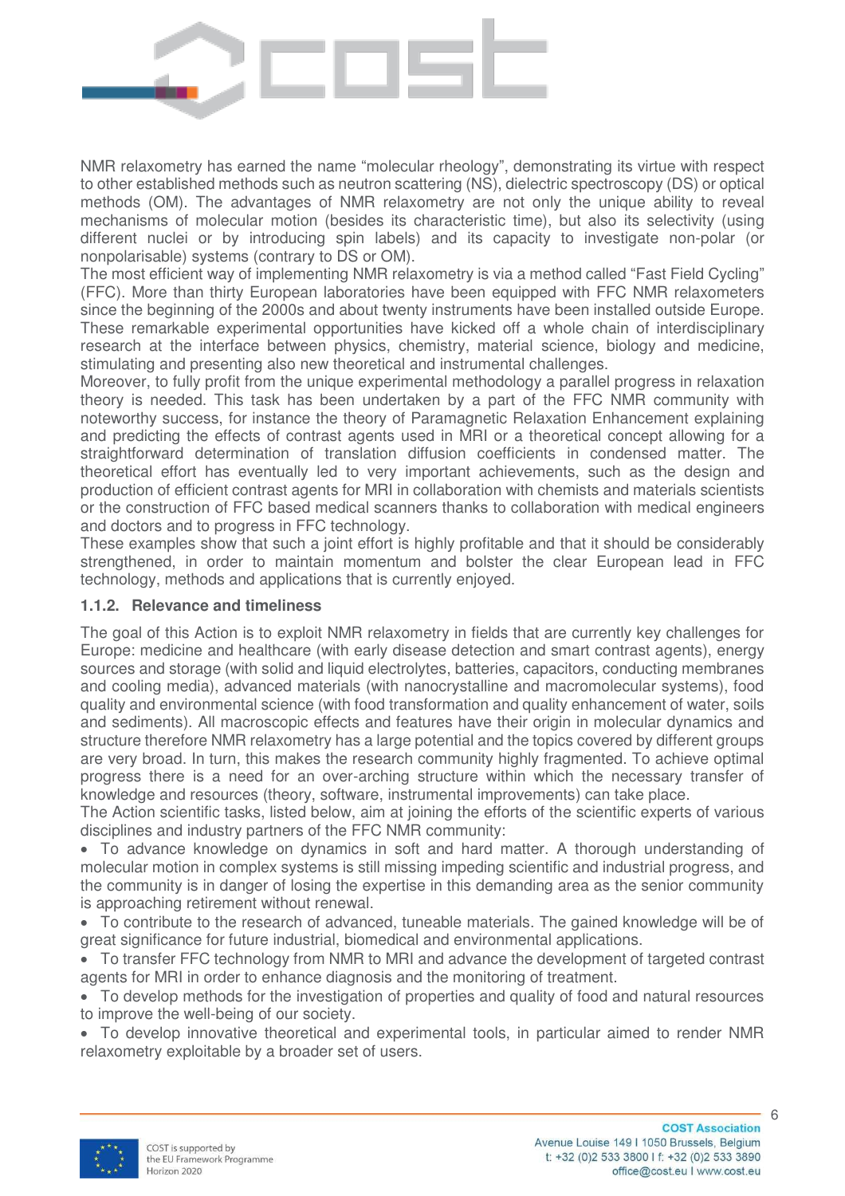

NMR relaxometry has earned the name "molecular rheology", demonstrating its virtue with respect to other established methods such as neutron scattering (NS), dielectric spectroscopy (DS) or optical methods (OM). The advantages of NMR relaxometry are not only the unique ability to reveal mechanisms of molecular motion (besides its characteristic time), but also its selectivity (using different nuclei or by introducing spin labels) and its capacity to investigate non-polar (or nonpolarisable) systems (contrary to DS or OM).

The most efficient way of implementing NMR relaxometry is via a method called "Fast Field Cycling" (FFC). More than thirty European laboratories have been equipped with FFC NMR relaxometers since the beginning of the 2000s and about twenty instruments have been installed outside Europe. These remarkable experimental opportunities have kicked off a whole chain of interdisciplinary research at the interface between physics, chemistry, material science, biology and medicine, stimulating and presenting also new theoretical and instrumental challenges.

Moreover, to fully profit from the unique experimental methodology a parallel progress in relaxation theory is needed. This task has been undertaken by a part of the FFC NMR community with noteworthy success, for instance the theory of Paramagnetic Relaxation Enhancement explaining and predicting the effects of contrast agents used in MRI or a theoretical concept allowing for a straightforward determination of translation diffusion coefficients in condensed matter. The theoretical effort has eventually led to very important achievements, such as the design and production of efficient contrast agents for MRI in collaboration with chemists and materials scientists or the construction of FFC based medical scanners thanks to collaboration with medical engineers and doctors and to progress in FFC technology.

These examples show that such a joint effort is highly profitable and that it should be considerably strengthened, in order to maintain momentum and bolster the clear European lead in FFC technology, methods and applications that is currently enjoyed.

#### **1.1.2. Relevance and timeliness**

The goal of this Action is to exploit NMR relaxometry in fields that are currently key challenges for Europe: medicine and healthcare (with early disease detection and smart contrast agents), energy sources and storage (with solid and liquid electrolytes, batteries, capacitors, conducting membranes and cooling media), advanced materials (with nanocrystalline and macromolecular systems), food quality and environmental science (with food transformation and quality enhancement of water, soils and sediments). All macroscopic effects and features have their origin in molecular dynamics and structure therefore NMR relaxometry has a large potential and the topics covered by different groups are very broad. In turn, this makes the research community highly fragmented. To achieve optimal progress there is a need for an over-arching structure within which the necessary transfer of knowledge and resources (theory, software, instrumental improvements) can take place.

The Action scientific tasks, listed below, aim at joining the efforts of the scientific experts of various disciplines and industry partners of the FFC NMR community:

 To advance knowledge on dynamics in soft and hard matter. A thorough understanding of molecular motion in complex systems is still missing impeding scientific and industrial progress, and the community is in danger of losing the expertise in this demanding area as the senior community is approaching retirement without renewal.

 To contribute to the research of advanced, tuneable materials. The gained knowledge will be of great significance for future industrial, biomedical and environmental applications.

 To transfer FFC technology from NMR to MRI and advance the development of targeted contrast agents for MRI in order to enhance diagnosis and the monitoring of treatment.

 To develop methods for the investigation of properties and quality of food and natural resources to improve the well-being of our society.

 To develop innovative theoretical and experimental tools, in particular aimed to render NMR relaxometry exploitable by a broader set of users.

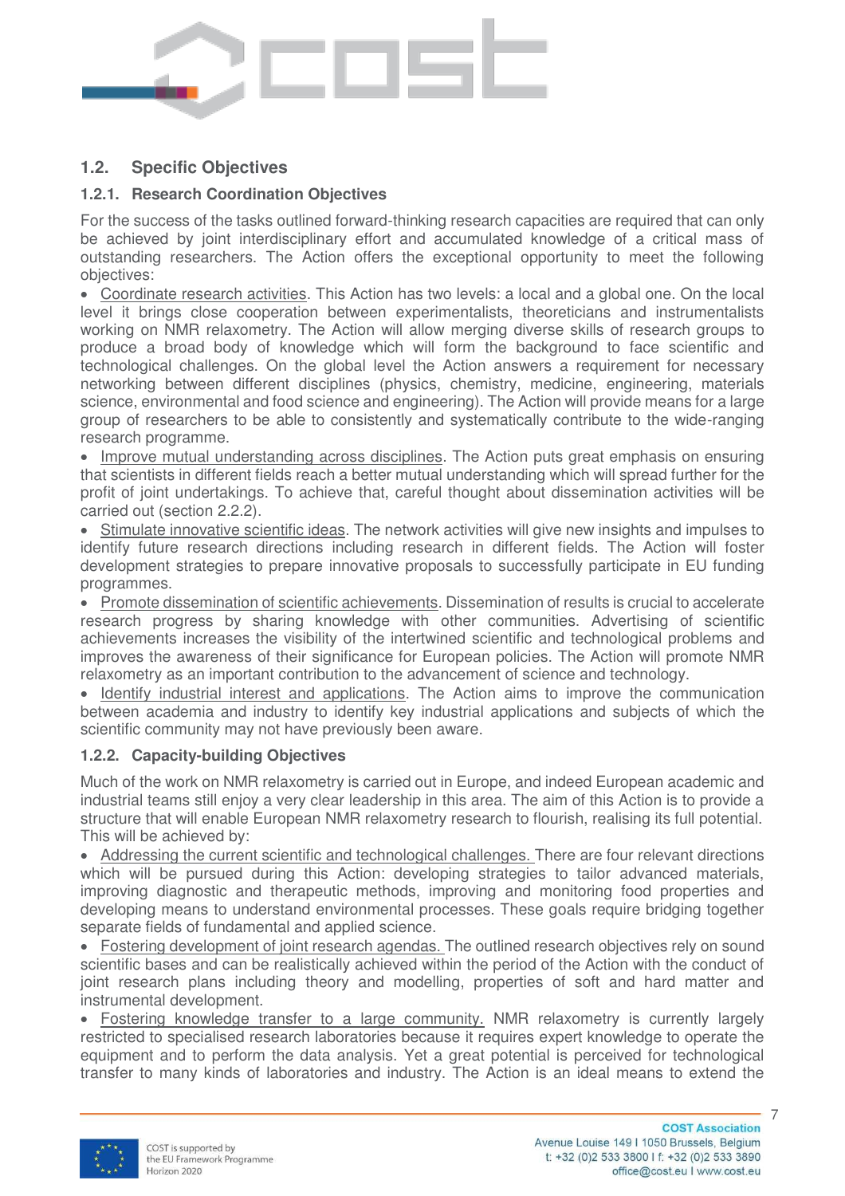

# **1.2. Specific Objectives**

### **1.2.1. Research Coordination Objectives**

For the success of the tasks outlined forward-thinking research capacities are required that can only be achieved by joint interdisciplinary effort and accumulated knowledge of a critical mass of outstanding researchers. The Action offers the exceptional opportunity to meet the following objectives:

 Coordinate research activities. This Action has two levels: a local and a global one. On the local level it brings close cooperation between experimentalists, theoreticians and instrumentalists working on NMR relaxometry. The Action will allow merging diverse skills of research groups to produce a broad body of knowledge which will form the background to face scientific and technological challenges. On the global level the Action answers a requirement for necessary networking between different disciplines (physics, chemistry, medicine, engineering, materials science, environmental and food science and engineering). The Action will provide means for a large group of researchers to be able to consistently and systematically contribute to the wide-ranging research programme.

• Improve mutual understanding across disciplines. The Action puts great emphasis on ensuring that scientists in different fields reach a better mutual understanding which will spread further for the profit of joint undertakings. To achieve that, careful thought about dissemination activities will be carried out (section 2.2.2).

 Stimulate innovative scientific ideas. The network activities will give new insights and impulses to identify future research directions including research in different fields. The Action will foster development strategies to prepare innovative proposals to successfully participate in EU funding programmes.

• Promote dissemination of scientific achievements. Dissemination of results is crucial to accelerate research progress by sharing knowledge with other communities. Advertising of scientific achievements increases the visibility of the intertwined scientific and technological problems and improves the awareness of their significance for European policies. The Action will promote NMR relaxometry as an important contribution to the advancement of science and technology.

 Identify industrial interest and applications. The Action aims to improve the communication between academia and industry to identify key industrial applications and subjects of which the scientific community may not have previously been aware.

#### **1.2.2. Capacity-building Objectives**

Much of the work on NMR relaxometry is carried out in Europe, and indeed European academic and industrial teams still enjoy a very clear leadership in this area. The aim of this Action is to provide a structure that will enable European NMR relaxometry research to flourish, realising its full potential. This will be achieved by:

• Addressing the current scientific and technological challenges. There are four relevant directions which will be pursued during this Action: developing strategies to tailor advanced materials, improving diagnostic and therapeutic methods, improving and monitoring food properties and developing means to understand environmental processes. These goals require bridging together separate fields of fundamental and applied science.

• Fostering development of joint research agendas. The outlined research objectives rely on sound scientific bases and can be realistically achieved within the period of the Action with the conduct of joint research plans including theory and modelling, properties of soft and hard matter and instrumental development.

 Fostering knowledge transfer to a large community. NMR relaxometry is currently largely restricted to specialised research laboratories because it requires expert knowledge to operate the equipment and to perform the data analysis. Yet a great potential is perceived for technological transfer to many kinds of laboratories and industry. The Action is an ideal means to extend the

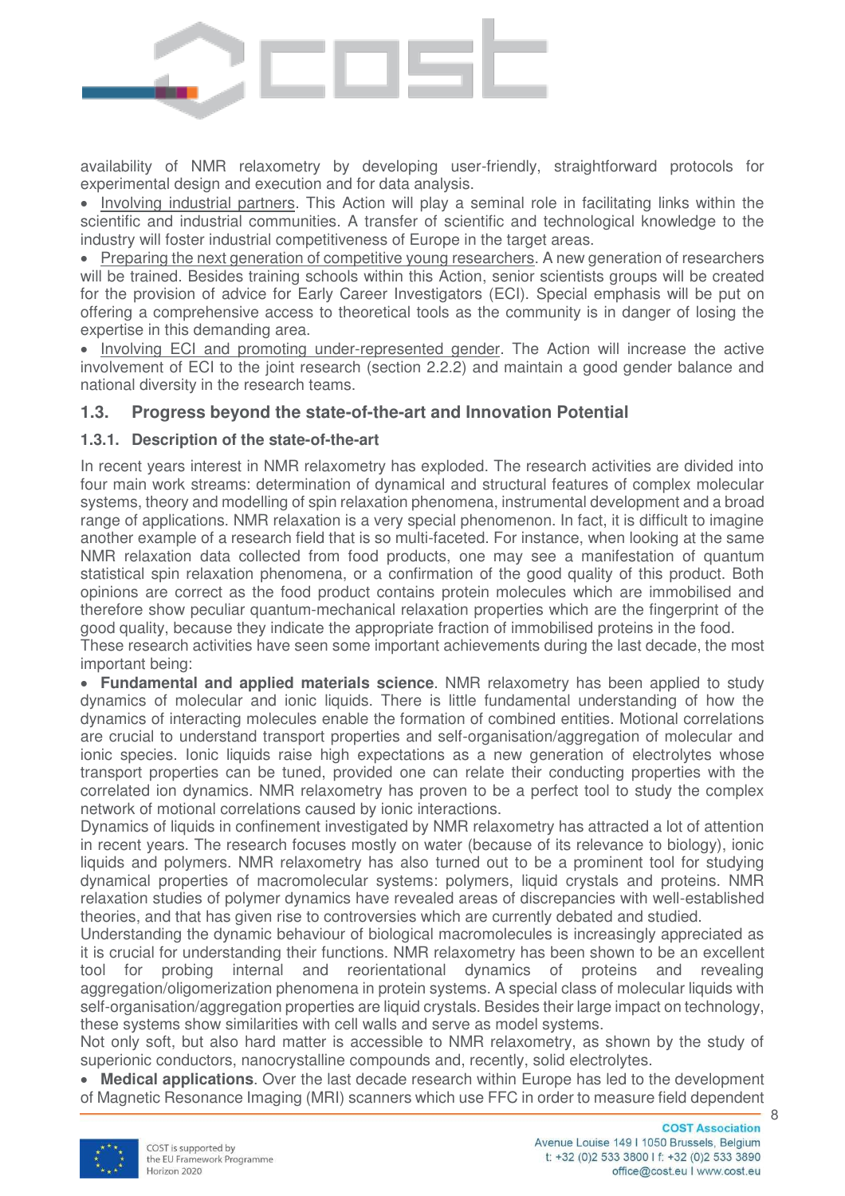

availability of NMR relaxometry by developing user-friendly, straightforward protocols for experimental design and execution and for data analysis.

• Involving industrial partners. This Action will play a seminal role in facilitating links within the scientific and industrial communities. A transfer of scientific and technological knowledge to the industry will foster industrial competitiveness of Europe in the target areas.

• Preparing the next generation of competitive young researchers. A new generation of researchers will be trained. Besides training schools within this Action, senior scientists groups will be created for the provision of advice for Early Career Investigators (ECI). Special emphasis will be put on offering a comprehensive access to theoretical tools as the community is in danger of losing the expertise in this demanding area.

• Involving ECI and promoting under-represented gender. The Action will increase the active involvement of ECI to the joint research (section 2.2.2) and maintain a good gender balance and national diversity in the research teams.

## **1.3. Progress beyond the state-of-the-art and Innovation Potential**

#### **1.3.1. Description of the state-of-the-art**

In recent years interest in NMR relaxometry has exploded. The research activities are divided into four main work streams: determination of dynamical and structural features of complex molecular systems, theory and modelling of spin relaxation phenomena, instrumental development and a broad range of applications. NMR relaxation is a very special phenomenon. In fact, it is difficult to imagine another example of a research field that is so multi-faceted. For instance, when looking at the same NMR relaxation data collected from food products, one may see a manifestation of quantum statistical spin relaxation phenomena, or a confirmation of the good quality of this product. Both opinions are correct as the food product contains protein molecules which are immobilised and therefore show peculiar quantum-mechanical relaxation properties which are the fingerprint of the good quality, because they indicate the appropriate fraction of immobilised proteins in the food.

These research activities have seen some important achievements during the last decade, the most important being:

 **Fundamental and applied materials science**. NMR relaxometry has been applied to study dynamics of molecular and ionic liquids. There is little fundamental understanding of how the dynamics of interacting molecules enable the formation of combined entities. Motional correlations are crucial to understand transport properties and self-organisation/aggregation of molecular and ionic species. Ionic liquids raise high expectations as a new generation of electrolytes whose transport properties can be tuned, provided one can relate their conducting properties with the correlated ion dynamics. NMR relaxometry has proven to be a perfect tool to study the complex network of motional correlations caused by ionic interactions.

Dynamics of liquids in confinement investigated by NMR relaxometry has attracted a lot of attention in recent years. The research focuses mostly on water (because of its relevance to biology), ionic liquids and polymers. NMR relaxometry has also turned out to be a prominent tool for studying dynamical properties of macromolecular systems: polymers, liquid crystals and proteins. NMR relaxation studies of polymer dynamics have revealed areas of discrepancies with well-established theories, and that has given rise to controversies which are currently debated and studied.

Understanding the dynamic behaviour of biological macromolecules is increasingly appreciated as it is crucial for understanding their functions. NMR relaxometry has been shown to be an excellent tool for probing internal and reorientational dynamics of proteins and revealing aggregation/oligomerization phenomena in protein systems. A special class of molecular liquids with self-organisation/aggregation properties are liquid crystals. Besides their large impact on technology, these systems show similarities with cell walls and serve as model systems.

Not only soft, but also hard matter is accessible to NMR relaxometry, as shown by the study of superionic conductors, nanocrystalline compounds and, recently, solid electrolytes.

 **Medical applications**. Over the last decade research within Europe has led to the development of Magnetic Resonance Imaging (MRI) scanners which use FFC in order to measure field dependent

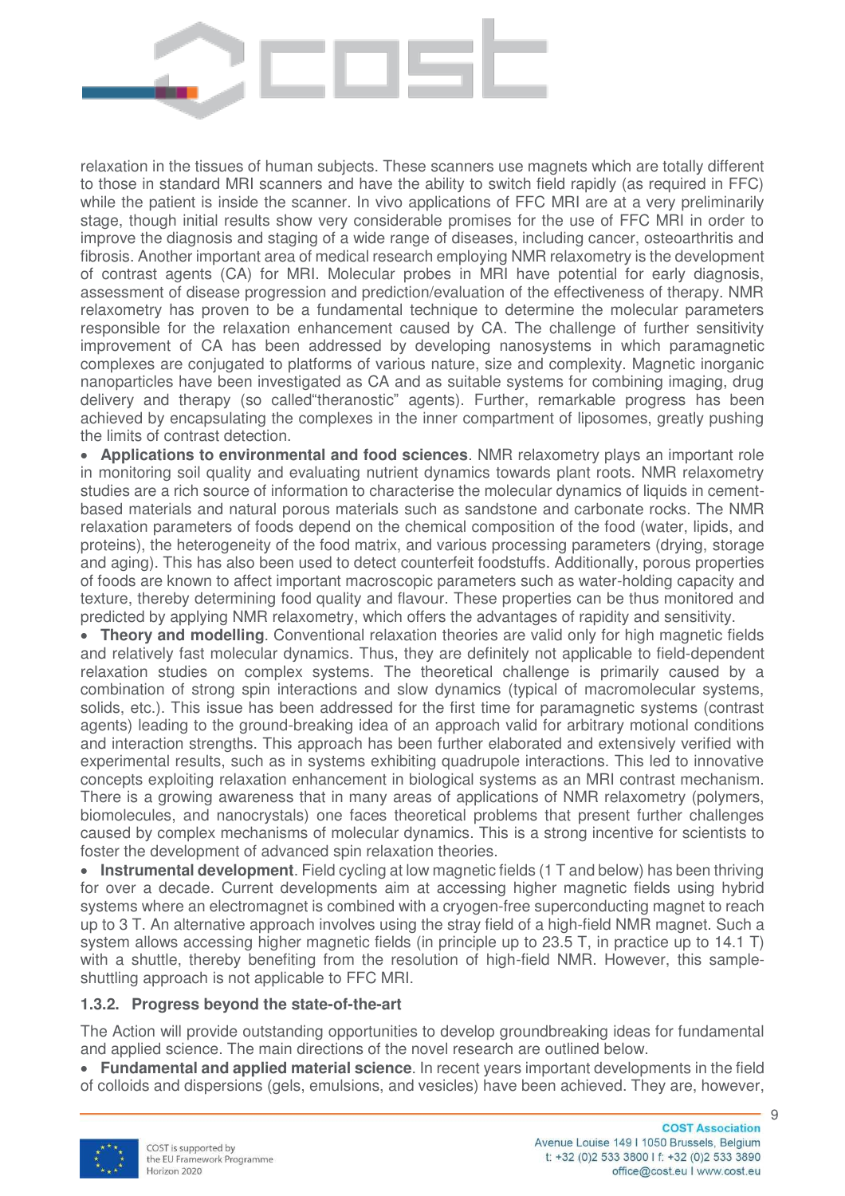

relaxation in the tissues of human subjects. These scanners use magnets which are totally different to those in standard MRI scanners and have the ability to switch field rapidly (as required in FFC) while the patient is inside the scanner. In vivo applications of FFC MRI are at a very preliminarily stage, though initial results show very considerable promises for the use of FFC MRI in order to improve the diagnosis and staging of a wide range of diseases, including cancer, osteoarthritis and fibrosis. Another important area of medical research employing NMR relaxometry is the development of contrast agents (CA) for MRI. Molecular probes in MRI have potential for early diagnosis, assessment of disease progression and prediction/evaluation of the effectiveness of therapy. NMR relaxometry has proven to be a fundamental technique to determine the molecular parameters responsible for the relaxation enhancement caused by CA. The challenge of further sensitivity improvement of CA has been addressed by developing nanosystems in which paramagnetic complexes are conjugated to platforms of various nature, size and complexity. Magnetic inorganic nanoparticles have been investigated as CA and as suitable systems for combining imaging, drug delivery and therapy (so called"theranostic" agents). Further, remarkable progress has been achieved by encapsulating the complexes in the inner compartment of liposomes, greatly pushing the limits of contrast detection.

 **Applications to environmental and food sciences**. NMR relaxometry plays an important role in monitoring soil quality and evaluating nutrient dynamics towards plant roots. NMR relaxometry studies are a rich source of information to characterise the molecular dynamics of liquids in cementbased materials and natural porous materials such as sandstone and carbonate rocks. The NMR relaxation parameters of foods depend on the chemical composition of the food (water, lipids, and proteins), the heterogeneity of the food matrix, and various processing parameters (drying, storage and aging). This has also been used to detect counterfeit foodstuffs. Additionally, porous properties of foods are known to affect important macroscopic parameters such as water-holding capacity and texture, thereby determining food quality and flavour. These properties can be thus monitored and predicted by applying NMR relaxometry, which offers the advantages of rapidity and sensitivity.

 **Theory and modelling**. Conventional relaxation theories are valid only for high magnetic fields and relatively fast molecular dynamics. Thus, they are definitely not applicable to field-dependent relaxation studies on complex systems. The theoretical challenge is primarily caused by a combination of strong spin interactions and slow dynamics (typical of macromolecular systems, solids, etc.). This issue has been addressed for the first time for paramagnetic systems (contrast agents) leading to the ground-breaking idea of an approach valid for arbitrary motional conditions and interaction strengths. This approach has been further elaborated and extensively verified with experimental results, such as in systems exhibiting quadrupole interactions. This led to innovative concepts exploiting relaxation enhancement in biological systems as an MRI contrast mechanism. There is a growing awareness that in many areas of applications of NMR relaxometry (polymers, biomolecules, and nanocrystals) one faces theoretical problems that present further challenges caused by complex mechanisms of molecular dynamics. This is a strong incentive for scientists to foster the development of advanced spin relaxation theories.

 **Instrumental development**. Field cycling at low magnetic fields (1 T and below) has been thriving for over a decade. Current developments aim at accessing higher magnetic fields using hybrid systems where an electromagnet is combined with a cryogen-free superconducting magnet to reach up to 3 T. An alternative approach involves using the stray field of a high-field NMR magnet. Such a system allows accessing higher magnetic fields (in principle up to 23.5 T, in practice up to 14.1 T) with a shuttle, thereby benefiting from the resolution of high-field NMR. However, this sampleshuttling approach is not applicable to FFC MRI.

#### **1.3.2. Progress beyond the state-of-the-art**

The Action will provide outstanding opportunities to develop groundbreaking ideas for fundamental and applied science. The main directions of the novel research are outlined below.

 **Fundamental and applied material science**. In recent years important developments in the field of colloids and dispersions (gels, emulsions, and vesicles) have been achieved. They are, however,

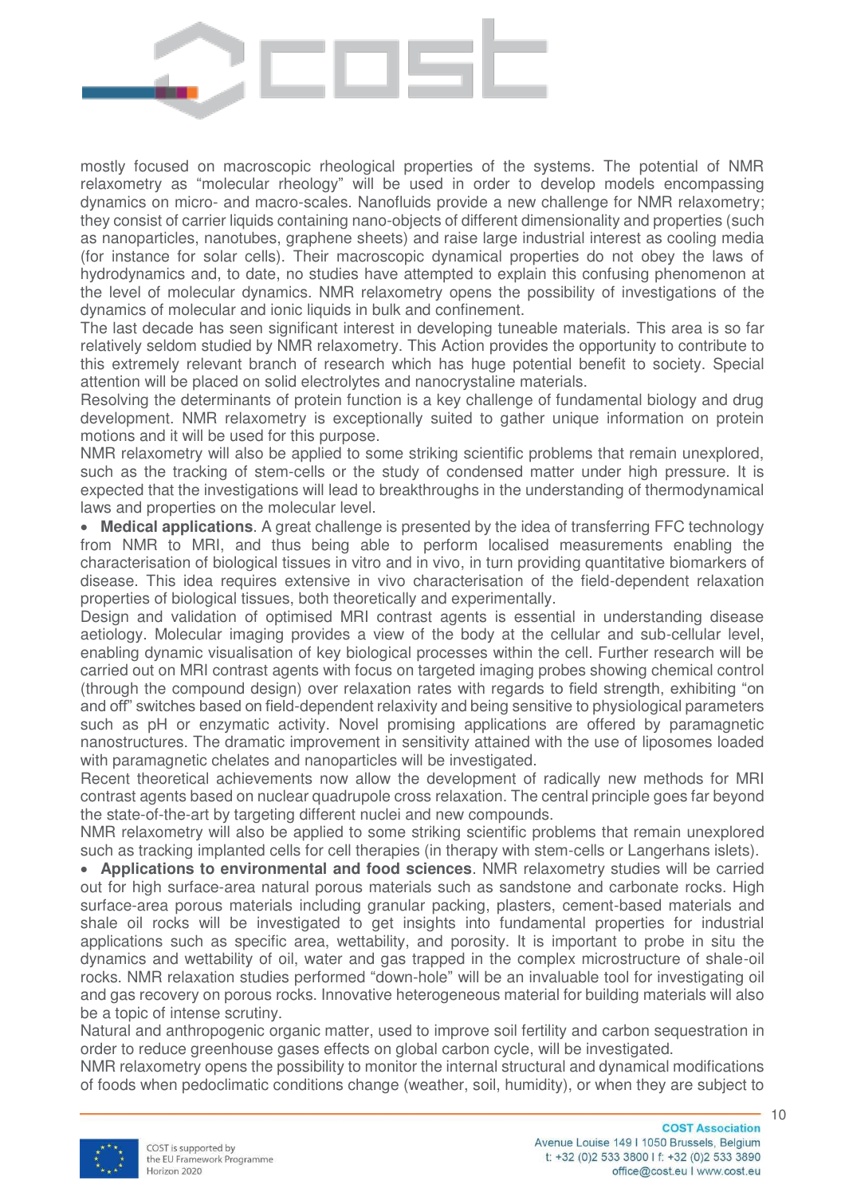

mostly focused on macroscopic rheological properties of the systems. The potential of NMR relaxometry as "molecular rheology" will be used in order to develop models encompassing dynamics on micro- and macro-scales. Nanofluids provide a new challenge for NMR relaxometry; they consist of carrier liquids containing nano-objects of different dimensionality and properties (such as nanoparticles, nanotubes, graphene sheets) and raise large industrial interest as cooling media (for instance for solar cells). Their macroscopic dynamical properties do not obey the laws of hydrodynamics and, to date, no studies have attempted to explain this confusing phenomenon at the level of molecular dynamics. NMR relaxometry opens the possibility of investigations of the dynamics of molecular and ionic liquids in bulk and confinement.

The last decade has seen significant interest in developing tuneable materials. This area is so far relatively seldom studied by NMR relaxometry. This Action provides the opportunity to contribute to this extremely relevant branch of research which has huge potential benefit to society. Special attention will be placed on solid electrolytes and nanocrystaline materials.

Resolving the determinants of protein function is a key challenge of fundamental biology and drug development. NMR relaxometry is exceptionally suited to gather unique information on protein motions and it will be used for this purpose.

NMR relaxometry will also be applied to some striking scientific problems that remain unexplored, such as the tracking of stem-cells or the study of condensed matter under high pressure. It is expected that the investigations will lead to breakthroughs in the understanding of thermodynamical laws and properties on the molecular level.

 **Medical applications**. A great challenge is presented by the idea of transferring FFC technology from NMR to MRI, and thus being able to perform localised measurements enabling the characterisation of biological tissues in vitro and in vivo, in turn providing quantitative biomarkers of disease. This idea requires extensive in vivo characterisation of the field-dependent relaxation properties of biological tissues, both theoretically and experimentally.

Design and validation of optimised MRI contrast agents is essential in understanding disease aetiology. Molecular imaging provides a view of the body at the cellular and sub-cellular level, enabling dynamic visualisation of key biological processes within the cell. Further research will be carried out on MRI contrast agents with focus on targeted imaging probes showing chemical control (through the compound design) over relaxation rates with regards to field strength, exhibiting "on and off" switches based on field-dependent relaxivity and being sensitive to physiological parameters such as pH or enzymatic activity. Novel promising applications are offered by paramagnetic nanostructures. The dramatic improvement in sensitivity attained with the use of liposomes loaded with paramagnetic chelates and nanoparticles will be investigated.

Recent theoretical achievements now allow the development of radically new methods for MRI contrast agents based on nuclear quadrupole cross relaxation. The central principle goes far beyond the state-of-the-art by targeting different nuclei and new compounds.

NMR relaxometry will also be applied to some striking scientific problems that remain unexplored such as tracking implanted cells for cell therapies (in therapy with stem-cells or Langerhans islets).

 **Applications to environmental and food sciences**. NMR relaxometry studies will be carried out for high surface-area natural porous materials such as sandstone and carbonate rocks. High surface-area porous materials including granular packing, plasters, cement-based materials and shale oil rocks will be investigated to get insights into fundamental properties for industrial applications such as specific area, wettability, and porosity. It is important to probe in situ the dynamics and wettability of oil, water and gas trapped in the complex microstructure of shale-oil rocks. NMR relaxation studies performed "down-hole" will be an invaluable tool for investigating oil and gas recovery on porous rocks. Innovative heterogeneous material for building materials will also be a topic of intense scrutiny.

Natural and anthropogenic organic matter, used to improve soil fertility and carbon sequestration in order to reduce greenhouse gases effects on global carbon cycle, will be investigated.

NMR relaxometry opens the possibility to monitor the internal structural and dynamical modifications of foods when pedoclimatic conditions change (weather, soil, humidity), or when they are subject to

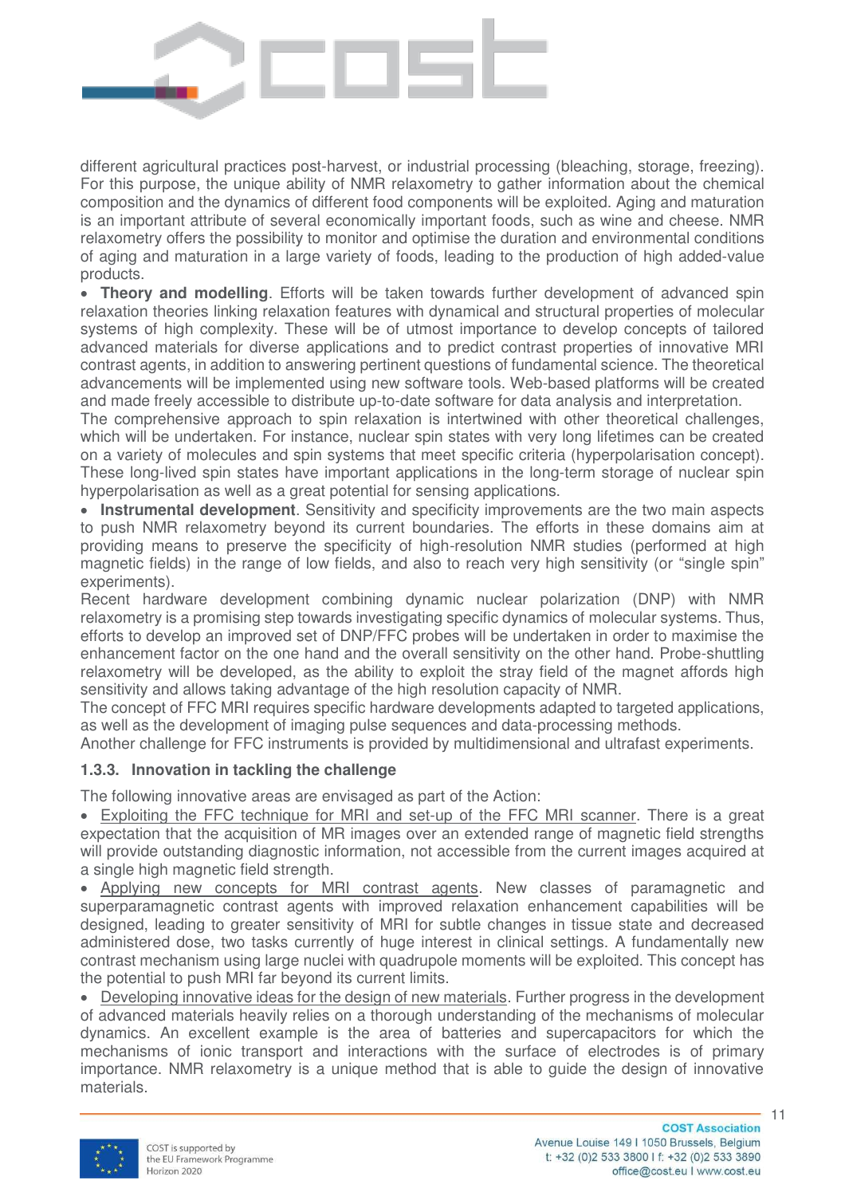

different agricultural practices post-harvest, or industrial processing (bleaching, storage, freezing). For this purpose, the unique ability of NMR relaxometry to gather information about the chemical composition and the dynamics of different food components will be exploited. Aging and maturation is an important attribute of several economically important foods, such as wine and cheese. NMR relaxometry offers the possibility to monitor and optimise the duration and environmental conditions of aging and maturation in a large variety of foods, leading to the production of high added-value products.

 **Theory and modelling**. Efforts will be taken towards further development of advanced spin relaxation theories linking relaxation features with dynamical and structural properties of molecular systems of high complexity. These will be of utmost importance to develop concepts of tailored advanced materials for diverse applications and to predict contrast properties of innovative MRI contrast agents, in addition to answering pertinent questions of fundamental science. The theoretical advancements will be implemented using new software tools. Web-based platforms will be created and made freely accessible to distribute up-to-date software for data analysis and interpretation.

The comprehensive approach to spin relaxation is intertwined with other theoretical challenges, which will be undertaken. For instance, nuclear spin states with very long lifetimes can be created on a variety of molecules and spin systems that meet specific criteria (hyperpolarisation concept). These long-lived spin states have important applications in the long-term storage of nuclear spin hyperpolarisation as well as a great potential for sensing applications.

 **Instrumental development**. Sensitivity and specificity improvements are the two main aspects to push NMR relaxometry beyond its current boundaries. The efforts in these domains aim at providing means to preserve the specificity of high-resolution NMR studies (performed at high magnetic fields) in the range of low fields, and also to reach very high sensitivity (or "single spin" experiments).

Recent hardware development combining dynamic nuclear polarization (DNP) with NMR relaxometry is a promising step towards investigating specific dynamics of molecular systems. Thus, efforts to develop an improved set of DNP/FFC probes will be undertaken in order to maximise the enhancement factor on the one hand and the overall sensitivity on the other hand. Probe-shuttling relaxometry will be developed, as the ability to exploit the stray field of the magnet affords high sensitivity and allows taking advantage of the high resolution capacity of NMR.

The concept of FFC MRI requires specific hardware developments adapted to targeted applications, as well as the development of imaging pulse sequences and data-processing methods.

Another challenge for FFC instruments is provided by multidimensional and ultrafast experiments.

# **1.3.3. Innovation in tackling the challenge**

The following innovative areas are envisaged as part of the Action:

 Exploiting the FFC technique for MRI and set-up of the FFC MRI scanner. There is a great expectation that the acquisition of MR images over an extended range of magnetic field strengths will provide outstanding diagnostic information, not accessible from the current images acquired at a single high magnetic field strength.

 Applying new concepts for MRI contrast agents. New classes of paramagnetic and superparamagnetic contrast agents with improved relaxation enhancement capabilities will be designed, leading to greater sensitivity of MRI for subtle changes in tissue state and decreased administered dose, two tasks currently of huge interest in clinical settings. A fundamentally new contrast mechanism using large nuclei with quadrupole moments will be exploited. This concept has the potential to push MRI far beyond its current limits.

 Developing innovative ideas for the design of new materials. Further progress in the development of advanced materials heavily relies on a thorough understanding of the mechanisms of molecular dynamics. An excellent example is the area of batteries and supercapacitors for which the mechanisms of ionic transport and interactions with the surface of electrodes is of primary importance. NMR relaxometry is a unique method that is able to guide the design of innovative materials.

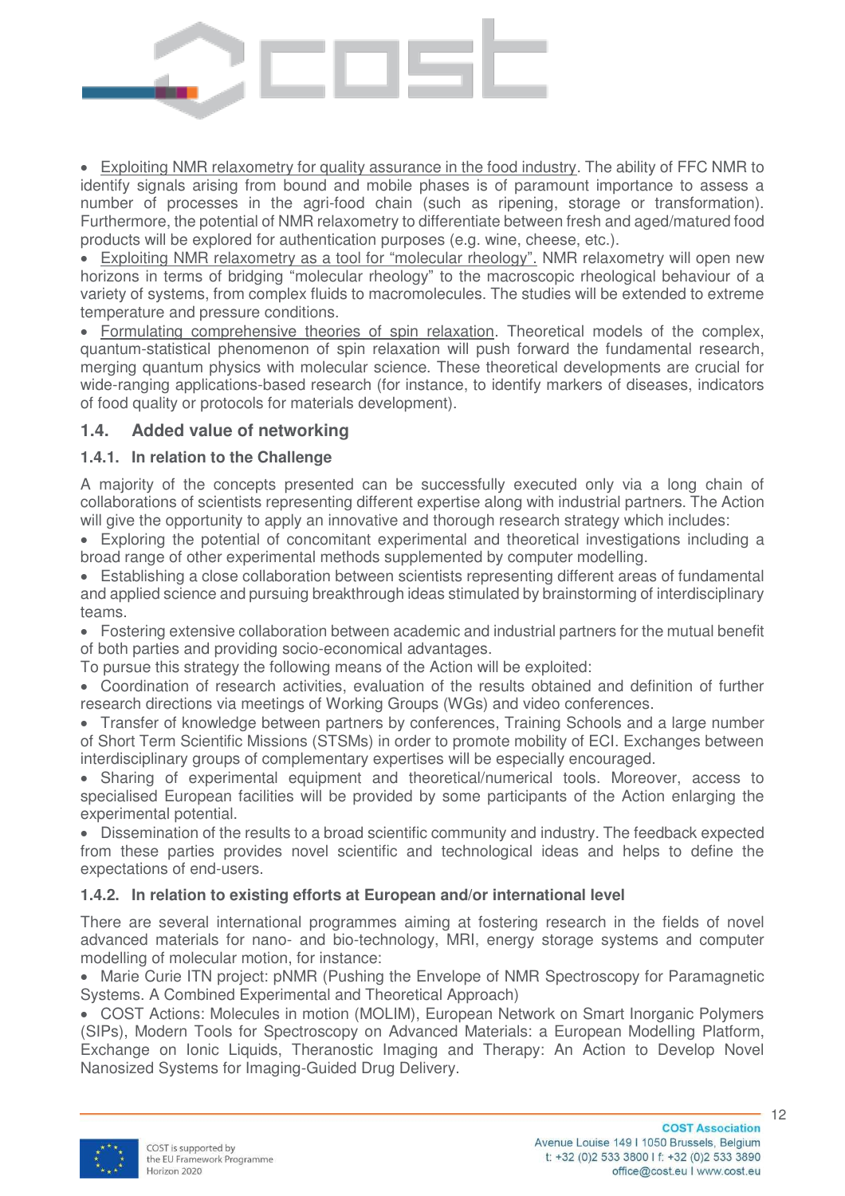

 Exploiting NMR relaxometry for quality assurance in the food industry. The ability of FFC NMR to identify signals arising from bound and mobile phases is of paramount importance to assess a number of processes in the agri-food chain (such as ripening, storage or transformation). Furthermore, the potential of NMR relaxometry to differentiate between fresh and aged/matured food products will be explored for authentication purposes (e.g. wine, cheese, etc.).

 Exploiting NMR relaxometry as a tool for "molecular rheology". NMR relaxometry will open new horizons in terms of bridging "molecular rheology" to the macroscopic rheological behaviour of a variety of systems, from complex fluids to macromolecules. The studies will be extended to extreme temperature and pressure conditions.

 Formulating comprehensive theories of spin relaxation. Theoretical models of the complex, quantum-statistical phenomenon of spin relaxation will push forward the fundamental research, merging quantum physics with molecular science. These theoretical developments are crucial for wide-ranging applications-based research (for instance, to identify markers of diseases, indicators of food quality or protocols for materials development).

## **1.4. Added value of networking**

#### **1.4.1. In relation to the Challenge**

A majority of the concepts presented can be successfully executed only via a long chain of collaborations of scientists representing different expertise along with industrial partners. The Action will give the opportunity to apply an innovative and thorough research strategy which includes:

- Exploring the potential of concomitant experimental and theoretical investigations including a broad range of other experimental methods supplemented by computer modelling.
- Establishing a close collaboration between scientists representing different areas of fundamental and applied science and pursuing breakthrough ideas stimulated by brainstorming of interdisciplinary teams.
- Fostering extensive collaboration between academic and industrial partners for the mutual benefit of both parties and providing socio-economical advantages.
- To pursue this strategy the following means of the Action will be exploited:
- Coordination of research activities, evaluation of the results obtained and definition of further research directions via meetings of Working Groups (WGs) and video conferences.
- Transfer of knowledge between partners by conferences, Training Schools and a large number of Short Term Scientific Missions (STSMs) in order to promote mobility of ECI. Exchanges between interdisciplinary groups of complementary expertises will be especially encouraged.
- Sharing of experimental equipment and theoretical/numerical tools. Moreover, access to specialised European facilities will be provided by some participants of the Action enlarging the experimental potential.
- Dissemination of the results to a broad scientific community and industry. The feedback expected from these parties provides novel scientific and technological ideas and helps to define the expectations of end-users.

#### **1.4.2. In relation to existing efforts at European and/or international level**

There are several international programmes aiming at fostering research in the fields of novel advanced materials for nano- and bio-technology, MRI, energy storage systems and computer modelling of molecular motion, for instance:

• Marie Curie ITN project: pNMR (Pushing the Envelope of NMR Spectroscopy for Paramagnetic Systems. A Combined Experimental and Theoretical Approach)

 COST Actions: Molecules in motion (MOLIM), European Network on Smart Inorganic Polymers (SIPs), Modern Tools for Spectroscopy on Advanced Materials: a European Modelling Platform, Exchange on Ionic Liquids, Theranostic Imaging and Therapy: An Action to Develop Novel Nanosized Systems for Imaging-Guided Drug Delivery.

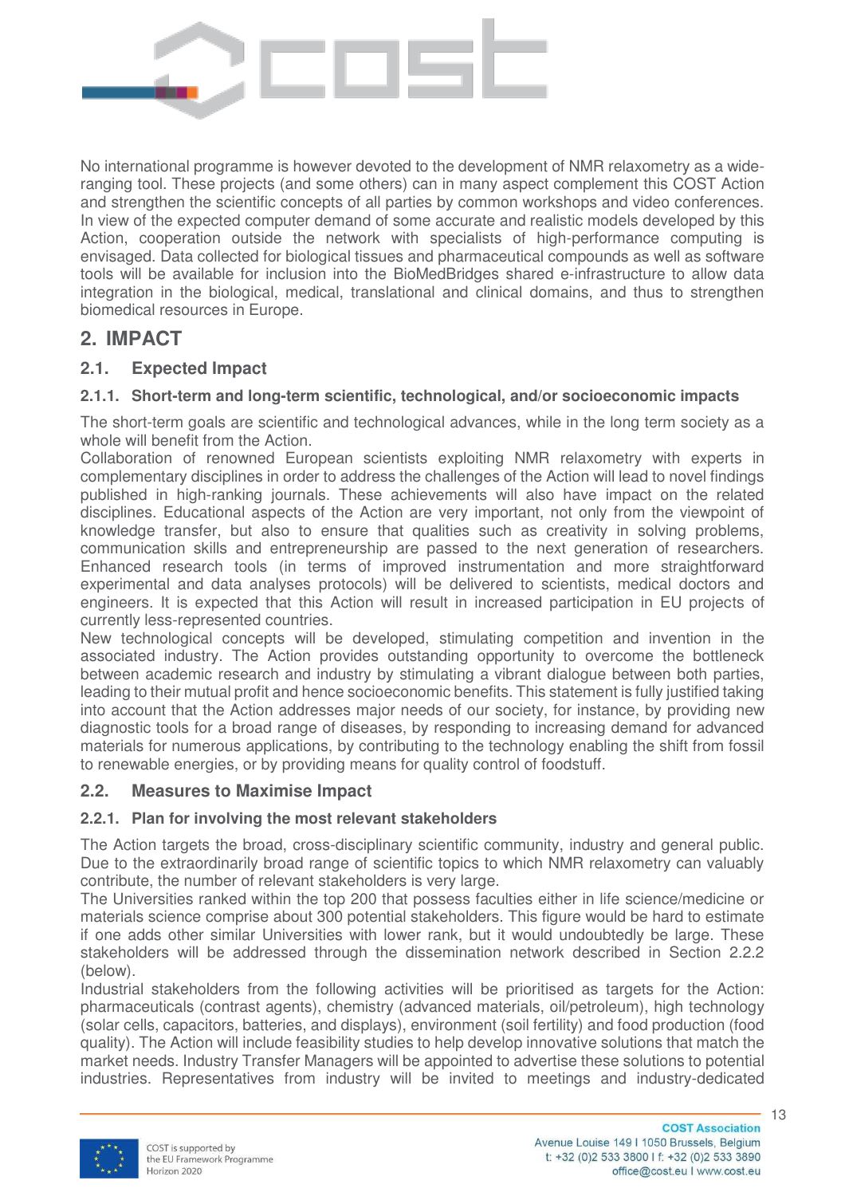

No international programme is however devoted to the development of NMR relaxometry as a wideranging tool. These projects (and some others) can in many aspect complement this COST Action and strengthen the scientific concepts of all parties by common workshops and video conferences. In view of the expected computer demand of some accurate and realistic models developed by this Action, cooperation outside the network with specialists of high-performance computing is envisaged. Data collected for biological tissues and pharmaceutical compounds as well as software tools will be available for inclusion into the BioMedBridges shared e-infrastructure to allow data integration in the biological, medical, translational and clinical domains, and thus to strengthen biomedical resources in Europe.

# **2. IMPACT**

## **2.1. Expected Impact**

#### **2.1.1. Short-term and long-term scientific, technological, and/or socioeconomic impacts**

The short-term goals are scientific and technological advances, while in the long term society as a whole will benefit from the Action.

Collaboration of renowned European scientists exploiting NMR relaxometry with experts in complementary disciplines in order to address the challenges of the Action will lead to novel findings published in high-ranking journals. These achievements will also have impact on the related disciplines. Educational aspects of the Action are very important, not only from the viewpoint of knowledge transfer, but also to ensure that qualities such as creativity in solving problems, communication skills and entrepreneurship are passed to the next generation of researchers. Enhanced research tools (in terms of improved instrumentation and more straightforward experimental and data analyses protocols) will be delivered to scientists, medical doctors and engineers. It is expected that this Action will result in increased participation in EU projects of currently less-represented countries.

New technological concepts will be developed, stimulating competition and invention in the associated industry. The Action provides outstanding opportunity to overcome the bottleneck between academic research and industry by stimulating a vibrant dialogue between both parties, leading to their mutual profit and hence socioeconomic benefits. This statement is fully justified taking into account that the Action addresses major needs of our society, for instance, by providing new diagnostic tools for a broad range of diseases, by responding to increasing demand for advanced materials for numerous applications, by contributing to the technology enabling the shift from fossil to renewable energies, or by providing means for quality control of foodstuff.

#### **2.2. Measures to Maximise Impact**

#### **2.2.1. Plan for involving the most relevant stakeholders**

The Action targets the broad, cross-disciplinary scientific community, industry and general public. Due to the extraordinarily broad range of scientific topics to which NMR relaxometry can valuably contribute, the number of relevant stakeholders is very large.

The Universities ranked within the top 200 that possess faculties either in life science/medicine or materials science comprise about 300 potential stakeholders. This figure would be hard to estimate if one adds other similar Universities with lower rank, but it would undoubtedly be large. These stakeholders will be addressed through the dissemination network described in Section 2.2.2 (below).

Industrial stakeholders from the following activities will be prioritised as targets for the Action: pharmaceuticals (contrast agents), chemistry (advanced materials, oil/petroleum), high technology (solar cells, capacitors, batteries, and displays), environment (soil fertility) and food production (food quality). The Action will include feasibility studies to help develop innovative solutions that match the market needs. Industry Transfer Managers will be appointed to advertise these solutions to potential industries. Representatives from industry will be invited to meetings and industry-dedicated

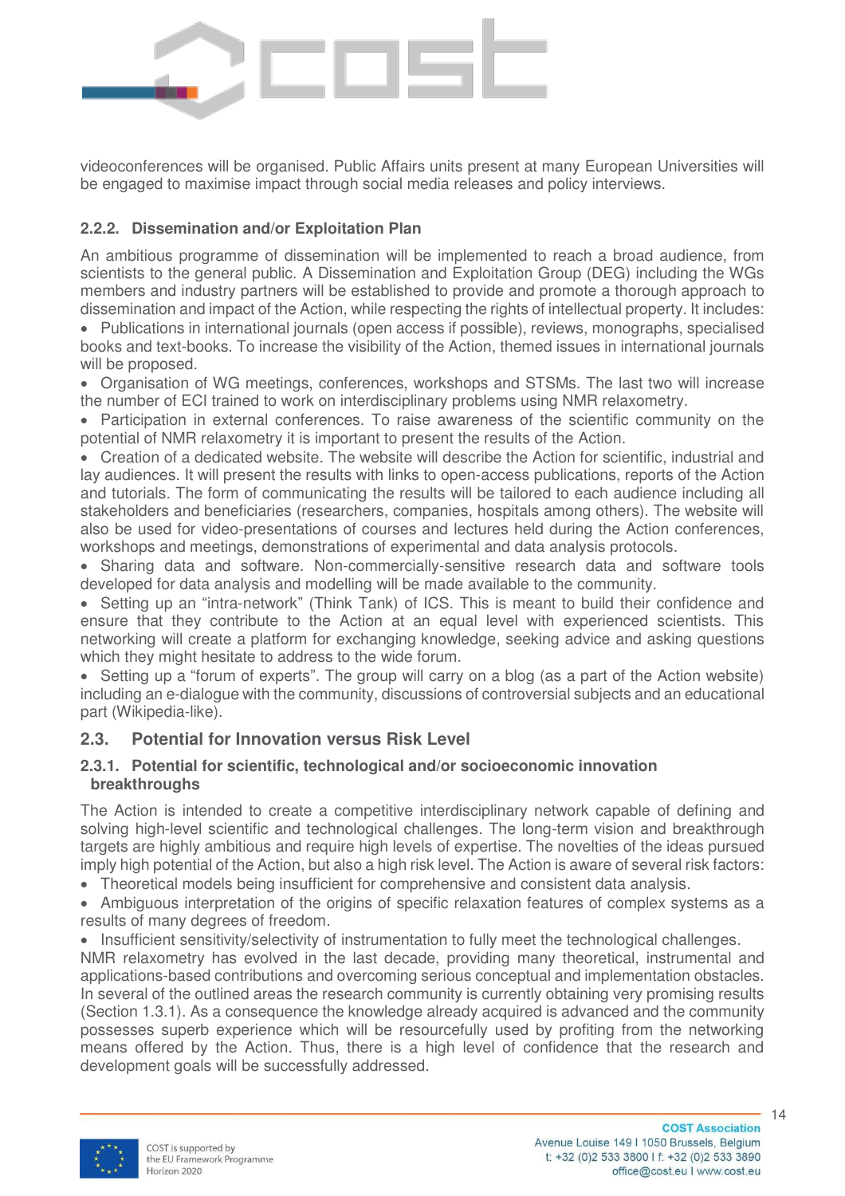

videoconferences will be organised. Public Affairs units present at many European Universities will be engaged to maximise impact through social media releases and policy interviews.

# **2.2.2. Dissemination and/or Exploitation Plan**

An ambitious programme of dissemination will be implemented to reach a broad audience, from scientists to the general public. A Dissemination and Exploitation Group (DEG) including the WGs members and industry partners will be established to provide and promote a thorough approach to dissemination and impact of the Action, while respecting the rights of intellectual property. It includes:

• Publications in international journals (open access if possible), reviews, monographs, specialised books and text-books. To increase the visibility of the Action, themed issues in international journals will be proposed.

 Organisation of WG meetings, conferences, workshops and STSMs. The last two will increase the number of ECI trained to work on interdisciplinary problems using NMR relaxometry.

• Participation in external conferences. To raise awareness of the scientific community on the potential of NMR relaxometry it is important to present the results of the Action.

 Creation of a dedicated website. The website will describe the Action for scientific, industrial and lay audiences. It will present the results with links to open-access publications, reports of the Action and tutorials. The form of communicating the results will be tailored to each audience including all stakeholders and beneficiaries (researchers, companies, hospitals among others). The website will also be used for video-presentations of courses and lectures held during the Action conferences, workshops and meetings, demonstrations of experimental and data analysis protocols.

 Sharing data and software. Non-commercially-sensitive research data and software tools developed for data analysis and modelling will be made available to the community.

• Setting up an "intra-network" (Think Tank) of ICS. This is meant to build their confidence and ensure that they contribute to the Action at an equal level with experienced scientists. This networking will create a platform for exchanging knowledge, seeking advice and asking questions which they might hesitate to address to the wide forum.

• Setting up a "forum of experts". The group will carry on a blog (as a part of the Action website) including an e-dialogue with the community, discussions of controversial subjects and an educational part (Wikipedia-like).

#### **2.3. Potential for Innovation versus Risk Level**

#### **2.3.1. Potential for scientific, technological and/or socioeconomic innovation breakthroughs**

The Action is intended to create a competitive interdisciplinary network capable of defining and solving high-level scientific and technological challenges. The long-term vision and breakthrough targets are highly ambitious and require high levels of expertise. The novelties of the ideas pursued imply high potential of the Action, but also a high risk level. The Action is aware of several risk factors:

Theoretical models being insufficient for comprehensive and consistent data analysis.

 Ambiguous interpretation of the origins of specific relaxation features of complex systems as a results of many degrees of freedom.

• Insufficient sensitivity/selectivity of instrumentation to fully meet the technological challenges.

NMR relaxometry has evolved in the last decade, providing many theoretical, instrumental and applications-based contributions and overcoming serious conceptual and implementation obstacles. In several of the outlined areas the research community is currently obtaining very promising results (Section 1.3.1). As a consequence the knowledge already acquired is advanced and the community possesses superb experience which will be resourcefully used by profiting from the networking means offered by the Action. Thus, there is a high level of confidence that the research and development goals will be successfully addressed.

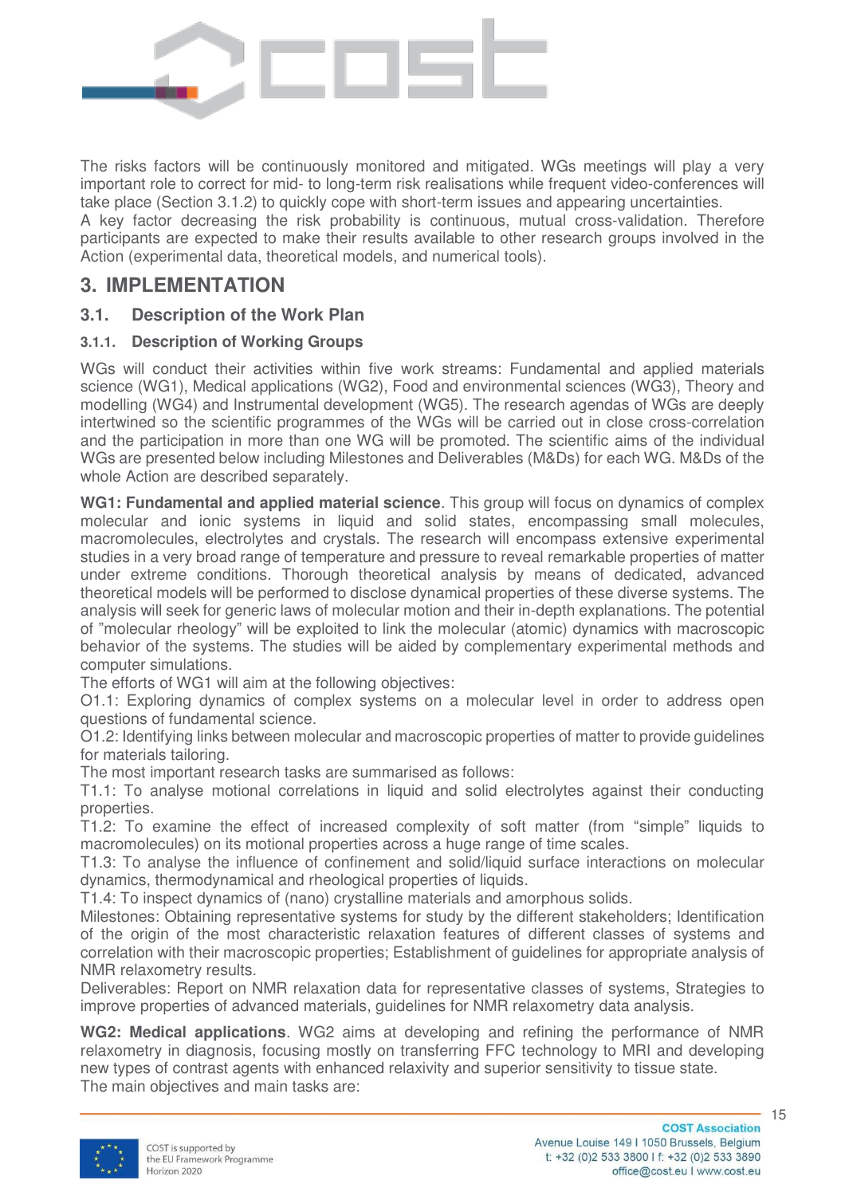

The risks factors will be continuously monitored and mitigated. WGs meetings will play a very important role to correct for mid- to long-term risk realisations while frequent video-conferences will take place (Section 3.1.2) to quickly cope with short-term issues and appearing uncertainties. A key factor decreasing the risk probability is continuous, mutual cross-validation. Therefore

participants are expected to make their results available to other research groups involved in the Action (experimental data, theoretical models, and numerical tools).

# **3. IMPLEMENTATION**

# **3.1. Description of the Work Plan**

# **3.1.1. Description of Working Groups**

WGs will conduct their activities within five work streams: Fundamental and applied materials science (WG1), Medical applications (WG2), Food and environmental sciences (WG3), Theory and modelling (WG4) and Instrumental development (WG5). The research agendas of WGs are deeply intertwined so the scientific programmes of the WGs will be carried out in close cross-correlation and the participation in more than one WG will be promoted. The scientific aims of the individual WGs are presented below including Milestones and Deliverables (M&Ds) for each WG. M&Ds of the whole Action are described separately.

**WG1: Fundamental and applied material science**. This group will focus on dynamics of complex molecular and ionic systems in liquid and solid states, encompassing small molecules, macromolecules, electrolytes and crystals. The research will encompass extensive experimental studies in a very broad range of temperature and pressure to reveal remarkable properties of matter under extreme conditions. Thorough theoretical analysis by means of dedicated, advanced theoretical models will be performed to disclose dynamical properties of these diverse systems. The analysis will seek for generic laws of molecular motion and their in-depth explanations. The potential of "molecular rheology" will be exploited to link the molecular (atomic) dynamics with macroscopic behavior of the systems. The studies will be aided by complementary experimental methods and computer simulations.

The efforts of WG1 will aim at the following objectives:

O1.1: Exploring dynamics of complex systems on a molecular level in order to address open questions of fundamental science.

O1.2: Identifying links between molecular and macroscopic properties of matter to provide guidelines for materials tailoring.

The most important research tasks are summarised as follows:

T1.1: To analyse motional correlations in liquid and solid electrolytes against their conducting properties.

T1.2: To examine the effect of increased complexity of soft matter (from "simple" liquids to macromolecules) on its motional properties across a huge range of time scales.

T1.3: To analyse the influence of confinement and solid/liquid surface interactions on molecular dynamics, thermodynamical and rheological properties of liquids.

T1.4: To inspect dynamics of (nano) crystalline materials and amorphous solids.

Milestones: Obtaining representative systems for study by the different stakeholders; Identification of the origin of the most characteristic relaxation features of different classes of systems and correlation with their macroscopic properties; Establishment of guidelines for appropriate analysis of NMR relaxometry results.

Deliverables: Report on NMR relaxation data for representative classes of systems, Strategies to improve properties of advanced materials, guidelines for NMR relaxometry data analysis.

**WG2: Medical applications**. WG2 aims at developing and refining the performance of NMR relaxometry in diagnosis, focusing mostly on transferring FFC technology to MRI and developing new types of contrast agents with enhanced relaxivity and superior sensitivity to tissue state. The main objectives and main tasks are:

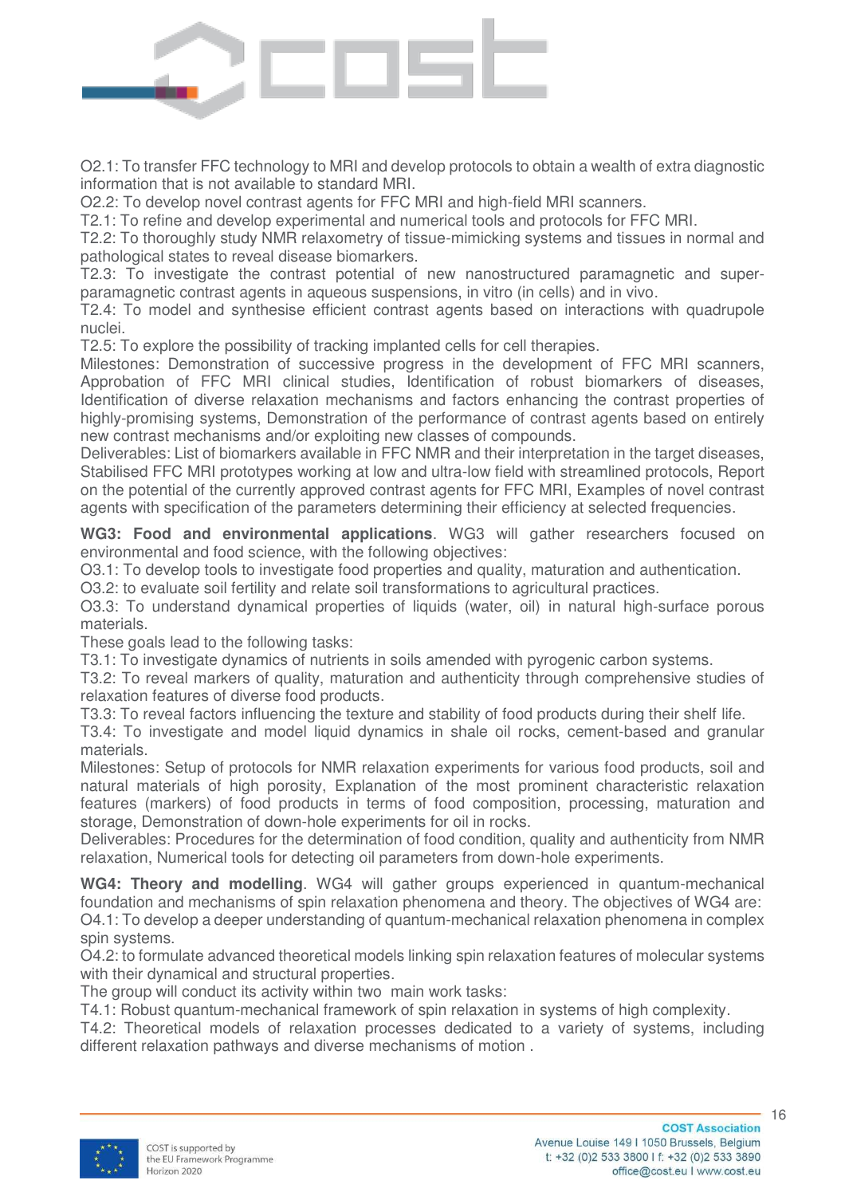

O2.1: To transfer FFC technology to MRI and develop protocols to obtain a wealth of extra diagnostic information that is not available to standard MRI.

O2.2: To develop novel contrast agents for FFC MRI and high-field MRI scanners.

T2.1: To refine and develop experimental and numerical tools and protocols for FFC MRI.

T2.2: To thoroughly study NMR relaxometry of tissue-mimicking systems and tissues in normal and pathological states to reveal disease biomarkers.

T2.3: To investigate the contrast potential of new nanostructured paramagnetic and superparamagnetic contrast agents in aqueous suspensions, in vitro (in cells) and in vivo.

T2.4: To model and synthesise efficient contrast agents based on interactions with quadrupole nuclei.

T2.5: To explore the possibility of tracking implanted cells for cell therapies.

Milestones: Demonstration of successive progress in the development of FFC MRI scanners, Approbation of FFC MRI clinical studies, Identification of robust biomarkers of diseases, Identification of diverse relaxation mechanisms and factors enhancing the contrast properties of highly-promising systems, Demonstration of the performance of contrast agents based on entirely new contrast mechanisms and/or exploiting new classes of compounds.

Deliverables: List of biomarkers available in FFC NMR and their interpretation in the target diseases, Stabilised FFC MRI prototypes working at low and ultra-low field with streamlined protocols, Report on the potential of the currently approved contrast agents for FFC MRI, Examples of novel contrast agents with specification of the parameters determining their efficiency at selected frequencies.

**WG3: Food and environmental applications**. WG3 will gather researchers focused on environmental and food science, with the following objectives:

O3.1: To develop tools to investigate food properties and quality, maturation and authentication.

O3.2: to evaluate soil fertility and relate soil transformations to agricultural practices.

O3.3: To understand dynamical properties of liquids (water, oil) in natural high-surface porous materials.

These goals lead to the following tasks:

T3.1: To investigate dynamics of nutrients in soils amended with pyrogenic carbon systems.

T3.2: To reveal markers of quality, maturation and authenticity through comprehensive studies of relaxation features of diverse food products.

T3.3: To reveal factors influencing the texture and stability of food products during their shelf life.

T3.4: To investigate and model liquid dynamics in shale oil rocks, cement-based and granular materials.

Milestones: Setup of protocols for NMR relaxation experiments for various food products, soil and natural materials of high porosity, Explanation of the most prominent characteristic relaxation features (markers) of food products in terms of food composition, processing, maturation and storage, Demonstration of down-hole experiments for oil in rocks.

Deliverables: Procedures for the determination of food condition, quality and authenticity from NMR relaxation, Numerical tools for detecting oil parameters from down-hole experiments.

**WG4: Theory and modelling**. WG4 will gather groups experienced in quantum-mechanical foundation and mechanisms of spin relaxation phenomena and theory. The objectives of WG4 are: O4.1: To develop a deeper understanding of quantum-mechanical relaxation phenomena in complex spin systems.

O4.2: to formulate advanced theoretical models linking spin relaxation features of molecular systems with their dynamical and structural properties.

The group will conduct its activity within two main work tasks:

T4.1: Robust quantum-mechanical framework of spin relaxation in systems of high complexity.

T4.2: Theoretical models of relaxation processes dedicated to a variety of systems, including different relaxation pathways and diverse mechanisms of motion .

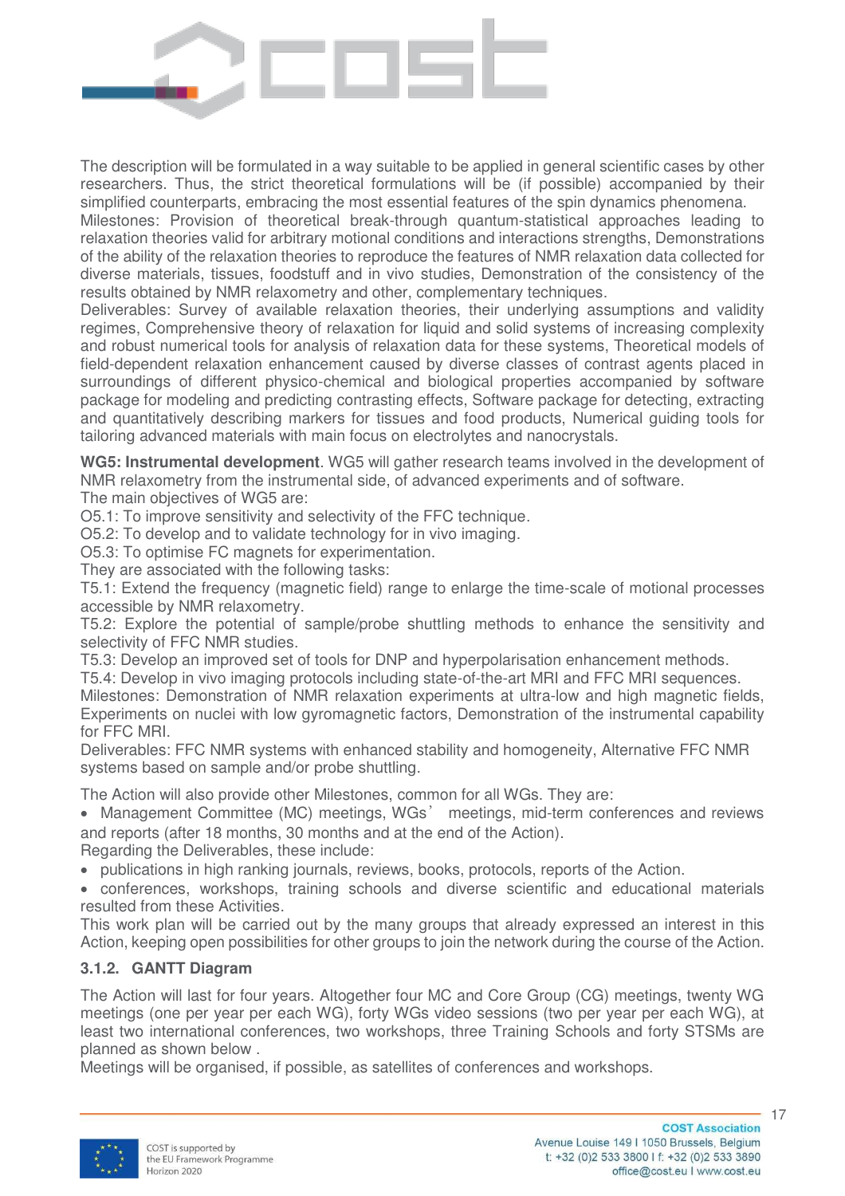

The description will be formulated in a way suitable to be applied in general scientific cases by other researchers. Thus, the strict theoretical formulations will be (if possible) accompanied by their simplified counterparts, embracing the most essential features of the spin dynamics phenomena.

Milestones: Provision of theoretical break-through quantum-statistical approaches leading to relaxation theories valid for arbitrary motional conditions and interactions strengths, Demonstrations of the ability of the relaxation theories to reproduce the features of NMR relaxation data collected for diverse materials, tissues, foodstuff and in vivo studies, Demonstration of the consistency of the results obtained by NMR relaxometry and other, complementary techniques.

Deliverables: Survey of available relaxation theories, their underlying assumptions and validity regimes, Comprehensive theory of relaxation for liquid and solid systems of increasing complexity and robust numerical tools for analysis of relaxation data for these systems, Theoretical models of field-dependent relaxation enhancement caused by diverse classes of contrast agents placed in surroundings of different physico-chemical and biological properties accompanied by software package for modeling and predicting contrasting effects, Software package for detecting, extracting and quantitatively describing markers for tissues and food products, Numerical guiding tools for tailoring advanced materials with main focus on electrolytes and nanocrystals.

**WG5: Instrumental development**. WG5 will gather research teams involved in the development of NMR relaxometry from the instrumental side, of advanced experiments and of software.

The main objectives of WG5 are:

O5.1: To improve sensitivity and selectivity of the FFC technique.

O5.2: To develop and to validate technology for in vivo imaging.

O5.3: To optimise FC magnets for experimentation.

They are associated with the following tasks:

T5.1: Extend the frequency (magnetic field) range to enlarge the time-scale of motional processes accessible by NMR relaxometry.

T5.2: Explore the potential of sample/probe shuttling methods to enhance the sensitivity and selectivity of FFC NMR studies.

T5.3: Develop an improved set of tools for DNP and hyperpolarisation enhancement methods.

T5.4: Develop in vivo imaging protocols including state-of-the-art MRI and FFC MRI sequences.

Milestones: Demonstration of NMR relaxation experiments at ultra-low and high magnetic fields, Experiments on nuclei with low gyromagnetic factors, Demonstration of the instrumental capability for FFC MRI.

Deliverables: FFC NMR systems with enhanced stability and homogeneity, Alternative FFC NMR systems based on sample and/or probe shuttling.

The Action will also provide other Milestones, common for all WGs. They are:

 Management Committee (MC) meetings, WGs' meetings, mid-term conferences and reviews and reports (after 18 months, 30 months and at the end of the Action).

Regarding the Deliverables, these include:

publications in high ranking journals, reviews, books, protocols, reports of the Action.

 conferences, workshops, training schools and diverse scientific and educational materials resulted from these Activities.

This work plan will be carried out by the many groups that already expressed an interest in this Action, keeping open possibilities for other groups to join the network during the course of the Action.

#### **3.1.2. GANTT Diagram**

The Action will last for four years. Altogether four MC and Core Group (CG) meetings, twenty WG meetings (one per year per each WG), forty WGs video sessions (two per year per each WG), at least two international conferences, two workshops, three Training Schools and forty STSMs are planned as shown below .

Meetings will be organised, if possible, as satellites of conferences and workshops.

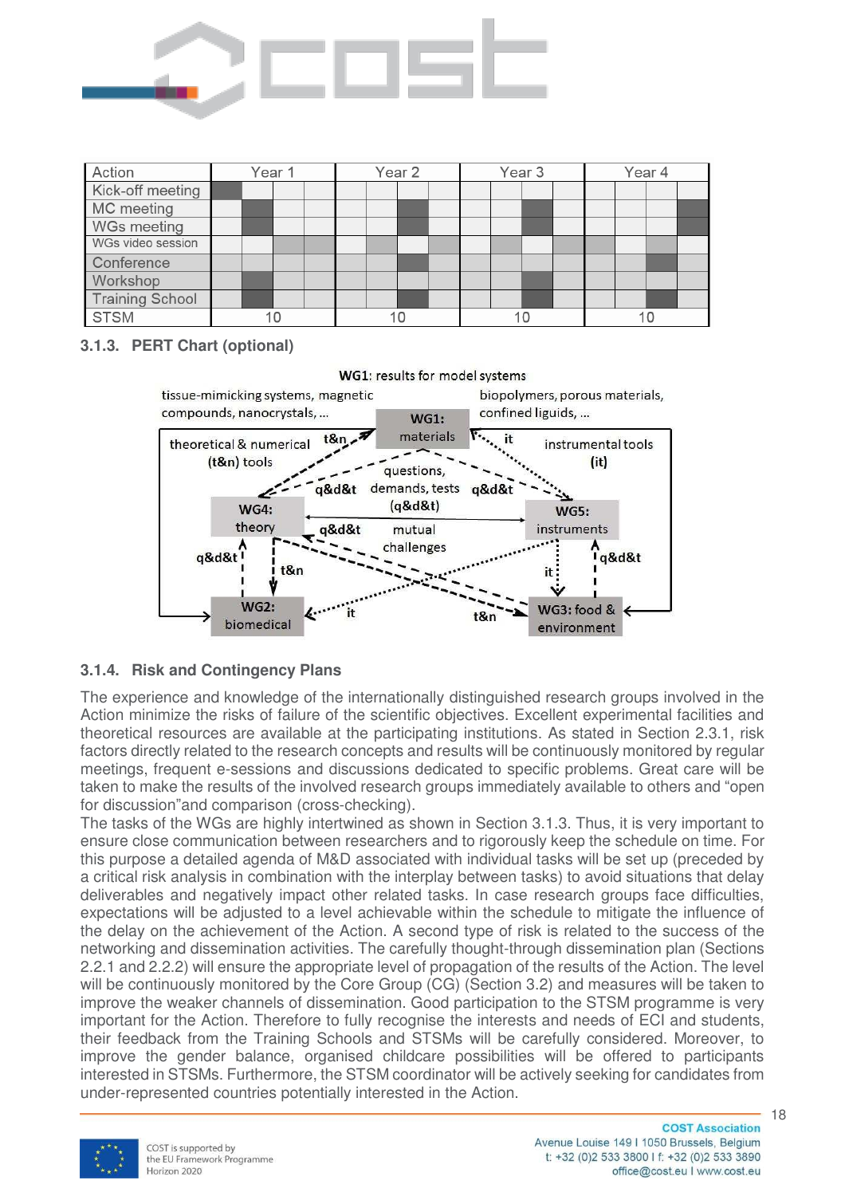

| Action                 | Year 1 |  |  | Year <sub>2</sub> |  |  | Year <sub>3</sub> |  |  | Year 4 |  |  |  |  |  |  |
|------------------------|--------|--|--|-------------------|--|--|-------------------|--|--|--------|--|--|--|--|--|--|
| Kick-off meeting       |        |  |  |                   |  |  |                   |  |  |        |  |  |  |  |  |  |
| MC meeting             |        |  |  |                   |  |  |                   |  |  |        |  |  |  |  |  |  |
| <b>WGs meeting</b>     |        |  |  |                   |  |  |                   |  |  |        |  |  |  |  |  |  |
| WGs video session      |        |  |  |                   |  |  |                   |  |  |        |  |  |  |  |  |  |
| Conference             |        |  |  |                   |  |  |                   |  |  |        |  |  |  |  |  |  |
| Workshop               |        |  |  |                   |  |  |                   |  |  |        |  |  |  |  |  |  |
| <b>Training School</b> |        |  |  |                   |  |  |                   |  |  |        |  |  |  |  |  |  |
| <b>STSM</b>            |        |  |  |                   |  |  |                   |  |  |        |  |  |  |  |  |  |

#### **3.1.3. PERT Chart (optional)**



# **3.1.4. Risk and Contingency Plans**

The experience and knowledge of the internationally distinguished research groups involved in the Action minimize the risks of failure of the scientific objectives. Excellent experimental facilities and theoretical resources are available at the participating institutions. As stated in Section 2.3.1, risk factors directly related to the research concepts and results will be continuously monitored by regular meetings, frequent e-sessions and discussions dedicated to specific problems. Great care will be taken to make the results of the involved research groups immediately available to others and "open for discussion"and comparison (cross-checking).

The tasks of the WGs are highly intertwined as shown in Section 3.1.3. Thus, it is very important to ensure close communication between researchers and to rigorously keep the schedule on time. For this purpose a detailed agenda of M&D associated with individual tasks will be set up (preceded by a critical risk analysis in combination with the interplay between tasks) to avoid situations that delay deliverables and negatively impact other related tasks. In case research groups face difficulties, expectations will be adjusted to a level achievable within the schedule to mitigate the influence of the delay on the achievement of the Action. A second type of risk is related to the success of the networking and dissemination activities. The carefully thought-through dissemination plan (Sections 2.2.1 and 2.2.2) will ensure the appropriate level of propagation of the results of the Action. The level will be continuously monitored by the Core Group (CG) (Section 3.2) and measures will be taken to improve the weaker channels of dissemination. Good participation to the STSM programme is very important for the Action. Therefore to fully recognise the interests and needs of ECI and students, their feedback from the Training Schools and STSMs will be carefully considered. Moreover, to improve the gender balance, organised childcare possibilities will be offered to participants interested in STSMs. Furthermore, the STSM coordinator will be actively seeking for candidates from under-represented countries potentially interested in the Action.